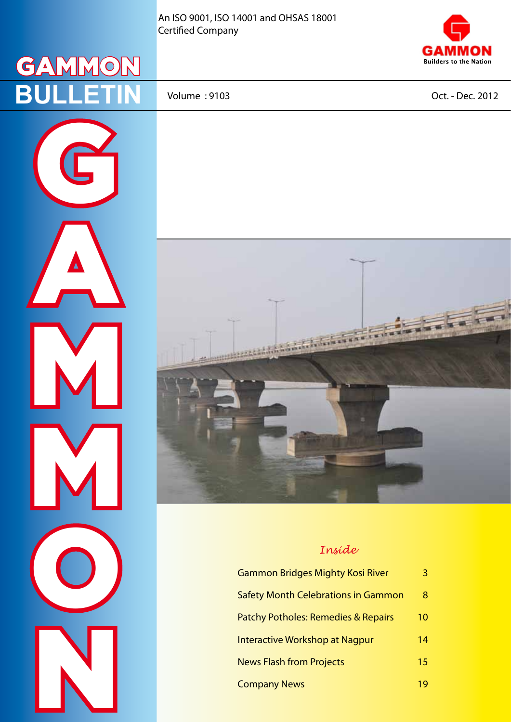An ISO 9001, ISO 14001 and OHSAS 18001 Certified Company





A

M

M

O

N

Volume : 9103 Oct. - Dec. 2012



### *Inside*

| <b>Gammon Bridges Mighty Kosi River</b>    | 3  |
|--------------------------------------------|----|
| <b>Safety Month Celebrations in Gammon</b> | 8  |
| Patchy Potholes: Remedies & Repairs        | 10 |
| Interactive Workshop at Nagpur             | 14 |
| <b>News Flash from Projects</b>            | 15 |
| <b>Company News</b>                        | 19 |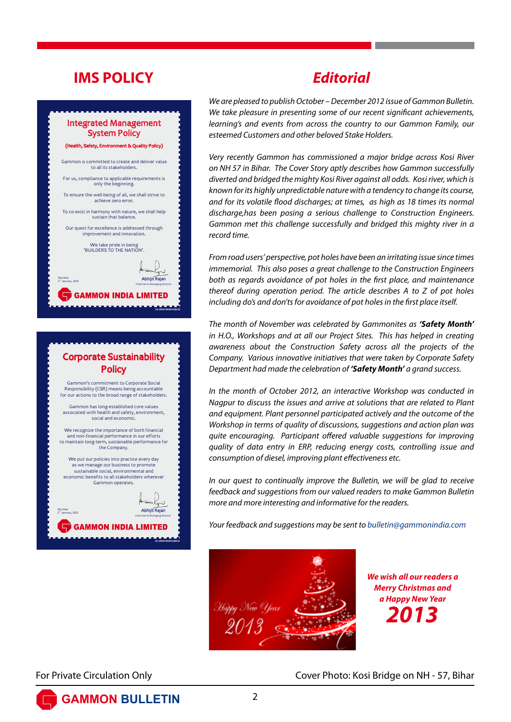# **IMS POLICY**

### Integrated Management System Policy

### (th. Safety, Environment & Quality Policy

Gammon is committed to create and deliver value to all its stakeholders.

For us, compliance to applicable requirements is only the beginning.

To ensure the well-being of all, we shall strive to achieve zero error.

To co-exist in harmony with nature, we shall help sustain that balance.

Our quest for excellence is addressed through improvement and innovation.

We take pride in being 'BUILDERS TO THE NATION'.

Mumbai

Chairman & Managing Director

GIL-ORGN-MGM-D-02A-02

GIL-ORGN-MGM-D-02D-01

**GAMMON INDIA LIMITED** 

mumbar<br>2" January, 2012 **Abhijit Rajan** 

### Corporate Sustainability **Policy**

Gammon's commitment to Corporate Social Responsibility (CSR) means being accountable for our actions to the broad range of stakeholders.

Gammon has long-established core values associated with health and safety, environment social and econom

We recognize the importance of both financial and non-financial performance in our efforts to maintain long-term, sustainable performance for the Company.

We put our policies into practice every day as we manage our business to promote sustainable social, environmental and economic benefits to all stakeholders wherever Gammon operates.

Mumbai mumbar<br>2<sup>"</sup> January, 2012 **Abhijit Rajan** Chairman & Managing Director **GAMMON INDIA LIMITED** 

# *Editorial*

*We are pleased to publish October – December 2012 issue of Gammon Bulletin. We take pleasure in presenting some of our recent significant achievements, learning's and events from across the country to our Gammon Family, our esteemed Customers and other beloved Stake Holders.*

*Very recently Gammon has commissioned a major bridge across Kosi River on NH 57 in Bihar. The Cover Story aptly describes how Gammon successfully diverted and bridged the mighty Kosi River against all odds. Kosi river, which is known for its highly unpredictable nature with a tendency to change its course, and for its volatile flood discharges; at times, as high as 18 times its normal discharge,has been posing a serious challenge to Construction Engineers. Gammon met this challenge successfully and bridged this mighty river in a record time.*

*From road users' perspective, pot holes have been an irritating issue since times immemorial. This also poses a great challenge to the Construction Engineers both as regards avoidance of pot holes in the first place, and maintenance thereof during operation period. The article describes A to Z of pot holes including do's and don'ts for avoidance of pot holes in the first place itself.*

*The month of November was celebrated by Gammonites as 'Safety Month' in H.O., Workshops and at all our Project Sites. This has helped in creating awareness about the Construction Safety across all the projects of the Company. Various innovative initiatives that were taken by Corporate Safety Department had made the celebration of 'Safety Month' a grand success.* 

*In the month of October 2012, an interactive Workshop was conducted in Nagpur to discuss the issues and arrive at solutions that are related to Plant and equipment. Plant personnel participated actively and the outcome of the Workshop in terms of quality of discussions, suggestions and action plan was quite encouraging. Participant offered valuable suggestions for improving quality of data entry in ERP, reducing energy costs, controlling issue and consumption of diesel, improving plant effectiveness etc.* 

*In our quest to continually improve the Bulletin, we will be glad to receive feedback and suggestions from our valued readers to make Gammon Bulletin more and more interesting and informative for the readers.*

*Your feedback and suggestions may be sent to bulletin@gammonindia.com*



*We wish all our readers a Merry Christmas and a Happy New Year 2013*

For Private Circulation Only Cover Photo: Kosi Bridge on NH - 57, Bihar

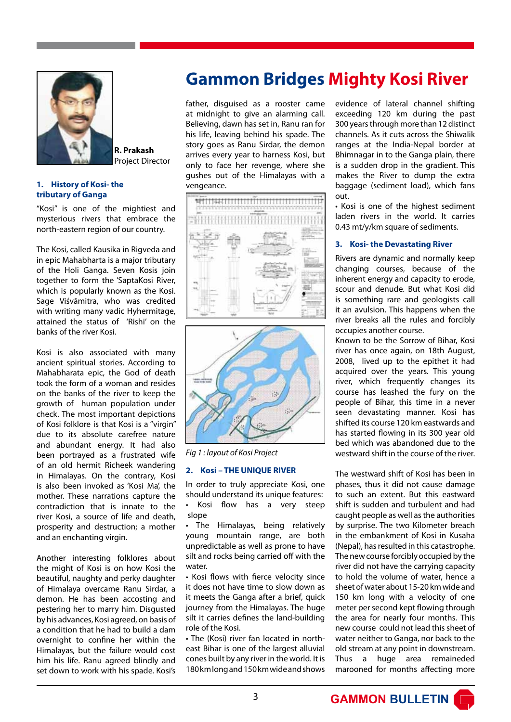

**R. Prakash** Project Director

### **1. History of Kosi- the tributary of Ganga**

"Kosi" is one of the mightiest and mysterious rivers that embrace the north-eastern region of our country.

The Kosi, called Kausika in Rigveda and in epic Mahabharta is a major tributary of the Holi Ganga. Seven Kosis join together to form the 'SaptaKosi River, which is popularly known as the Kosi. Sage Viśvāmitra, who was credited with writing many vadic Hyhermitage, attained the status of 'Rishi' on the banks of the river Kosi.

Kosi is also associated with many ancient spiritual stories. According to Mahabharata epic, the God of death took the form of a woman and resides on the banks of the river to keep the growth of human population under check. The most important depictions of Kosi folklore is that Kosi is a "virgin" due to its absolute carefree nature and abundant energy. It had also been portrayed as a frustrated wife of an old hermit Richeek wandering in Himalayas. On the contrary, Kosi is also been invoked as 'Kosi Ma', the mother. These narrations capture the contradiction that is innate to the river Kosi, a source of life and death, prosperity and destruction; a mother and an enchanting virgin.

Another interesting folklores about the might of Kosi is on how Kosi the beautiful, naughty and perky daughter of Himalaya overcame Ranu Sirdar, a demon. He has been accosting and pestering her to marry him. Disgusted by his advances, Kosi agreed, on basis of a condition that he had to build a dam overnight to confine her within the Himalayas, but the failure would cost him his life. Ranu agreed blindly and set down to work with his spade. Kosi's

# **Gammon Bridges Mighty Kosi River**

father, disguised as a rooster came at midnight to give an alarming call. Believing, dawn has set in, Ranu ran for his life, leaving behind his spade. The story goes as Ranu Sirdar, the demon arrives every year to harness Kosi, but only to face her revenge, where she gushes out of the Himalayas with a vengeance.





*Fig 1 : layout of Kosi Project*

### **2. Kosi – THE UNIQUE RIVER**

In order to truly appreciate Kosi, one should understand its unique features: Kosi flow has a very steep slope

• The Himalayas, being relatively young mountain range, are both unpredictable as well as prone to have silt and rocks being carried off with the water.

• Kosi flows with fierce velocity since it does not have time to slow down as it meets the Ganga after a brief, quick journey from the Himalayas. The huge silt it carries defines the land-building role of the Kosi.

• The (Kosi) river fan located in northeast Bihar is one of the largest alluvial cones built by any river in the world. It is 180 km long and 150 km wide and shows

evidence of lateral channel shifting exceeding 120 km during the past 300 years through more than 12 distinct channels. As it cuts across the Shiwalik ranges at the India-Nepal border at Bhimnagar in to the Ganga plain, there is a sudden drop in the gradient. This makes the River to dump the extra baggage (sediment load), which fans out.

• Kosi is one of the highest sediment laden rivers in the world. It carries 0.43 mt/y/km square of sediments.

### **3. Kosi- the Devastating River**

Rivers are dynamic and normally keep changing courses, because of the inherent energy and capacity to erode, scour and denude. But what Kosi did is something rare and geologists call it an avulsion. This happens when the river breaks all the rules and forcibly occupies another course.

Known to be the Sorrow of Bihar, Kosi river has once again, on 18th August, 2008, lived up to the epithet it had acquired over the years. This young river, which frequently changes its course has leashed the fury on the people of Bihar, this time in a never seen devastating manner. Kosi has shifted its course 120 km eastwards and has started flowing in its 300 year old bed which was abandoned due to the westward shift in the course of the river.

The westward shift of Kosi has been in phases, thus it did not cause damage to such an extent. But this eastward shift is sudden and turbulent and had caught people as well as the authorities by surprise. The two Kilometer breach in the embankment of Kosi in Kusaha (Nepal), has resulted in this catastrophe. The new course forcibly occupied by the river did not have the carrying capacity to hold the volume of water, hence a sheet of water about 15-20 km wide and 150 km long with a velocity of one meter per second kept flowing through the area for nearly four months. This new course could not lead this sheet of water neither to Ganga, nor back to the old stream at any point in downstream. Thus a huge area remaineded marooned for months affecting more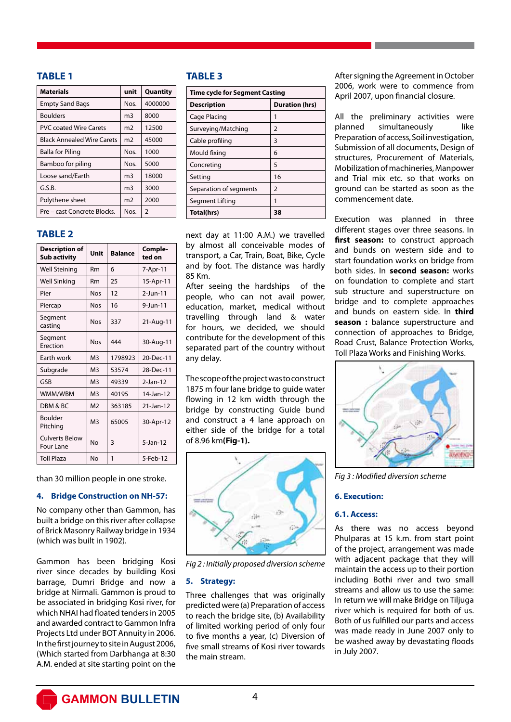### **TABLE 1**

| <b>Materials</b>                  | unit | Quantity       |
|-----------------------------------|------|----------------|
| <b>Empty Sand Bags</b>            | Nos. | 4000000        |
| <b>Boulders</b>                   | m3   | 8000           |
| <b>PVC coated Wire Carets</b>     | m2   | 12500          |
| <b>Black Annealed Wire Carets</b> | m2   | 45000          |
| <b>Balla for Piling</b>           | Nos. | 1000           |
| Bamboo for piling                 | Nos. | 5000           |
| Loose sand/Earth                  | m3   | 18000          |
| G.S.B.                            | m3   | 3000           |
| Polythene sheet                   | m2   | 2000           |
| Pre – cast Concrete Blocks.       | Nos. | $\overline{2}$ |

### **TABLE 2**

| <b>Description of</b><br><b>Sub activity</b> | Unit           | <b>Balance</b> | Comple-<br>ted on |
|----------------------------------------------|----------------|----------------|-------------------|
| <b>Well Steining</b>                         | <b>Rm</b>      | 6              | 7-Apr-11          |
| <b>Well Sinking</b>                          | <b>Rm</b>      | 25             | 15-Apr-11         |
| Pier                                         | <b>Nos</b>     | 12             | $2$ -Jun-11       |
| Piercap                                      | <b>Nos</b>     | 16             | 9-Jun-11          |
| Segment<br>casting                           | <b>Nos</b>     | 337            | 21-Aug-11         |
| Segment<br>Erection                          | <b>Nos</b>     | 444            | 30-Aug-11         |
| Earth work                                   | M3             | 1798923        | 20-Dec-11         |
| Subgrade                                     | M <sub>3</sub> | 53574          | 28-Dec-11         |
| GSB                                          | M3             | 49339          | $2$ -Jan-12       |
| WMM/WBM                                      | M <sub>3</sub> | 40195          | 14-Jan-12         |
| DBM & BC                                     | M <sub>2</sub> | 363185         | $21$ -Jan-12      |
| Boulder<br>Pitching                          | M3             | 65005          | 30-Apr-12         |
| <b>Culverts Below</b><br>Four Lane           | No             | 3              | $5$ -Jan-12       |
| <b>Toll Plaza</b>                            | No             | 1              | 5-Feb-12          |

than 30 million people in one stroke.

### **4. Bridge Construction on NH-57:**

No company other than Gammon, has built a bridge on this river after collapse of Brick Masonry Railway bridge in 1934 (which was built in 1902).

Gammon has been bridging Kosi river since decades by building Kosi barrage, Dumri Bridge and now a bridge at Nirmali. Gammon is proud to be associated in bridging Kosi river, for which NHAI had floated tenders in 2005 and awarded contract to Gammon Infra Projects Ltd under BOT Annuity in 2006. In the first journey to site in August 2006, (Which started from Darbhanga at 8:30 A.M. ended at site starting point on the

### **TABLE 3**

| <b>Time cycle for Segment Casting</b> |                       |  |
|---------------------------------------|-----------------------|--|
| <b>Description</b>                    | <b>Duration (hrs)</b> |  |
| Cage Placing                          | 1                     |  |
| Surveying/Matching                    | 2                     |  |
| Cable profiling                       | 3                     |  |
| Mould fixing                          | 6                     |  |
| Concreting                            | 5                     |  |
| Setting                               | 16                    |  |
| Separation of segments                | 2                     |  |
| Segment Lifting                       | 1                     |  |
| Total(hrs)                            | 38                    |  |

next day at 11:00 A.M.) we travelled by almost all conceivable modes of transport, a Car, Train, Boat, Bike, Cycle and by foot. The distance was hardly 85 Km.

After seeing the hardships of the people, who can not avail power, education, market, medical without travelling through land & water for hours, we decided, we should contribute for the development of this separated part of the country without any delay.

The scope of the project was to construct 1875 m four lane bridge to guide water flowing in 12 km width through the bridge by constructing Guide bund and construct a 4 lane approach on either side of the bridge for a total of 8.96 km**(Fig-1).**



*Fig 2 : Initially proposed diversion scheme*

### **5. Strategy:**

Three challenges that was originally predicted were (a) Preparation of access to reach the bridge site, (b) Availability of limited working period of only four to five months a year, (c) Diversion of five small streams of Kosi river towards the main stream.

After signing the Agreement in October 2006, work were to commence from April 2007, upon financial closure.

All the preliminary activities were planned simultaneously like Preparation of access, Soil investigation, Submission of all documents, Design of structures, Procurement of Materials, Mobilization of machineries, Manpower and Trial mix etc. so that works on ground can be started as soon as the commencement date.

Execution was planned in three different stages over three seasons. In first season: to construct approach and bunds on western side and to start foundation works on bridge from both sides. In **second season:** works on foundation to complete and start sub structure and superstructure on bridge and to complete approaches and bunds on eastern side. In **third season :** balance superstructure and connection of approaches to Bridge, Road Crust, Balance Protection Works, Toll Plaza Works and Finishing Works.



*Fig 3 : Modified diversion scheme*

### **6. Execution:**

### **6.1. Access:**

As there was no access beyond Phulparas at 15 k.m. from start point of the project, arrangement was made with adjacent package that they will maintain the access up to their portion including Bothi river and two small streams and allow us to use the same: In return we will make Bridge on Tiljuga river which is required for both of us. Both of us fulfilled our parts and access was made ready in June 2007 only to be washed away by devastating floods in July 2007.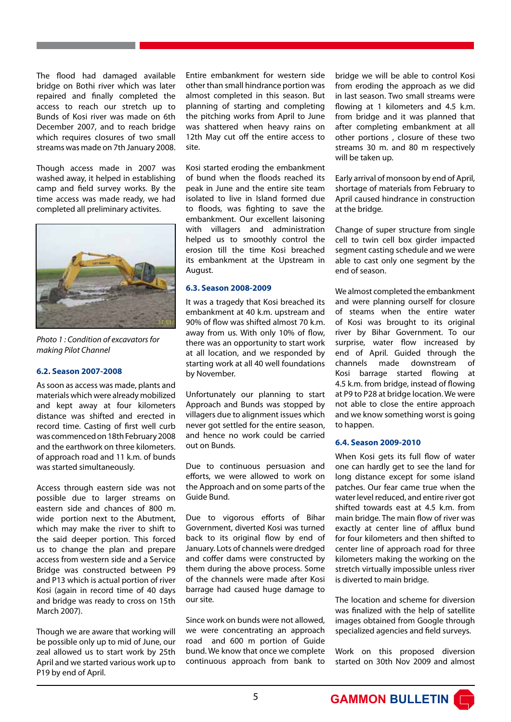The flood had damaged available bridge on Bothi river which was later repaired and finally completed the access to reach our stretch up to Bunds of Kosi river was made on 6th December 2007, and to reach bridge which requires closures of two small streams was made on 7th January 2008.

Though access made in 2007 was washed away, it helped in establishing camp and field survey works. By the time access was made ready, we had completed all preliminary activites.



*Photo 1 : Condition of excavators for making Pilot Channel* 

### **6.2. Season 2007-2008**

As soon as access was made, plants and materials which were already mobilized and kept away at four kilometers distance was shifted and erected in record time. Casting of first well curb was commenced on 18th February 2008 and the earthwork on three kilometers. of approach road and 11 k.m. of bunds was started simultaneously.

Access through eastern side was not possible due to larger streams on eastern side and chances of 800 m. wide portion next to the Abutment, which may make the river to shift to the said deeper portion. This forced us to change the plan and prepare access from western side and a Service Bridge was constructed between P9 and P13 which is actual portion of river Kosi (again in record time of 40 days and bridge was ready to cross on 15th March 2007).

Though we are aware that working will be possible only up to mid of June, our zeal allowed us to start work by 25th April and we started various work up to P19 by end of April.

Entire embankment for western side other than small hindrance portion was almost completed in this season. But planning of starting and completing the pitching works from April to June was shattered when heavy rains on 12th May cut off the entire access to site.

Kosi started eroding the embankment of bund when the floods reached its peak in June and the entire site team isolated to live in Island formed due to floods, was fighting to save the embankment. Our excellent laisoning with villagers and administration helped us to smoothly control the erosion till the time Kosi breached its embankment at the Upstream in August.

### **6.3. Season 2008-2009**

It was a tragedy that Kosi breached its embankment at 40 k.m. upstream and 90% of flow was shifted almost 70 k.m. away from us. With only 10% of flow, there was an opportunity to start work at all location, and we responded by starting work at all 40 well foundations by November.

Unfortunately our planning to start Approach and Bunds was stopped by villagers due to alignment issues which never got settled for the entire season, and hence no work could be carried out on Bunds.

Due to continuous persuasion and efforts, we were allowed to work on the Approach and on some parts of the Guide Bund.

Due to vigorous efforts of Bihar Government, diverted Kosi was turned back to its original flow by end of January. Lots of channels were dredged and coffer dams were constructed by them during the above process. Some of the channels were made after Kosi barrage had caused huge damage to our site.

Since work on bunds were not allowed, we were concentrating an approach road and 600 m portion of Guide bund. We know that once we complete continuous approach from bank to bridge we will be able to control Kosi from eroding the approach as we did in last season. Two small streams were flowing at 1 kilometers and 4.5 k.m. from bridge and it was planned that after completing embankment at all other portions , closure of these two streams 30 m. and 80 m respectively will be taken up.

Early arrival of monsoon by end of April, shortage of materials from February to April caused hindrance in construction at the bridge.

Change of super structure from single cell to twin cell box girder impacted segment casting schedule and we were able to cast only one segment by the end of season.

We almost completed the embankment and were planning ourself for closure of steams when the entire water of Kosi was brought to its original river by Bihar Government. To our surprise, water flow increased by end of April. Guided through the channels made downstream of Kosi barrage started flowing at 4.5 k.m. from bridge, instead of flowing at P9 to P28 at bridge location. We were not able to close the entire approach and we know something worst is going to happen.

### **6.4. Season 2009-2010**

When Kosi gets its full flow of water one can hardly get to see the land for long distance except for some island patches. Our fear came true when the water level reduced, and entire river got shifted towards east at 4.5 k.m. from main bridge. The main flow of river was exactly at center line of afflux bund for four kilometers and then shifted to center line of approach road for three kilometers making the working on the stretch virtually impossible unless river is diverted to main bridge.

The location and scheme for diversion was finalized with the help of satellite images obtained from Google through specialized agencies and field surveys.

Work on this proposed diversion started on 30th Nov 2009 and almost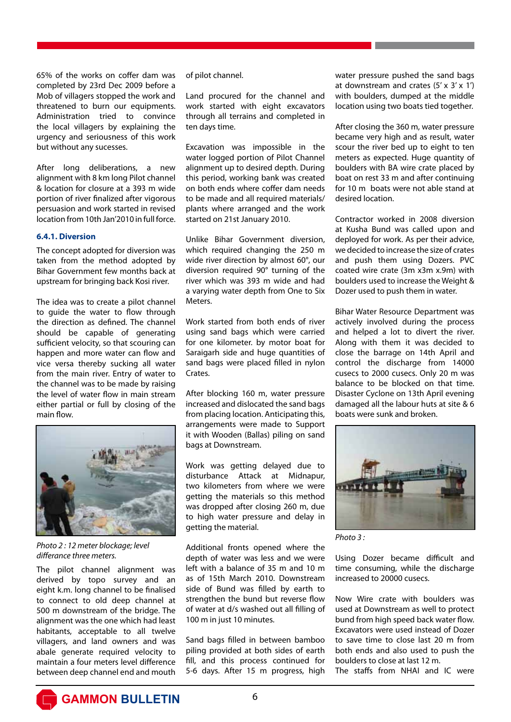65% of the works on coffer dam was completed by 23rd Dec 2009 before a Mob of villagers stopped the work and threatened to burn our equipments. Administration tried to convince the local villagers by explaining the urgency and seriousness of this work but without any sucesses.

After long deliberations, a new alignment with 8 km long Pilot channel & location for closure at a 393 m wide portion of river finalized after vigorous persuasion and work started in revised location from 10th Jan'2010 in full force.

### **6.4.1. Diversion**

The concept adopted for diversion was taken from the method adopted by Bihar Government few months back at upstream for bringing back Kosi river.

The idea was to create a pilot channel to guide the water to flow through the direction as defined. The channel should be capable of generating sufficient velocity, so that scouring can happen and more water can flow and vice versa thereby sucking all water from the main river. Entry of water to the channel was to be made by raising the level of water flow in main stream either partial or full by closing of the main flow.



*Photo 2 : 12 meter blockage; level differance three meters.*

The pilot channel alignment was derived by topo survey and an eight k.m. long channel to be finalised to connect to old deep channel at 500 m downstream of the bridge. The alignment was the one which had least habitants, acceptable to all twelve villagers, and land owners and was abale generate required velocity to maintain a four meters level difference between deep channel end and mouth

of pilot channel.

Land procured for the channel and work started with eight excavators through all terrains and completed in ten days time.

Excavation was impossible in the water logged portion of Pilot Channel alignment up to desired depth. During this period, working bank was created on both ends where coffer dam needs to be made and all required materials/ plants where arranged and the work started on 21st January 2010.

Unlike Bihar Government diversion, which required changing the 250 m wide river direction by almost 60°, our diversion required 90° turning of the river which was 393 m wide and had a varying water depth from One to Six Meters.

Work started from both ends of river using sand bags which were carried for one kilometer. by motor boat for Saraigarh side and huge quantities of sand bags were placed filled in nylon **Crates** 

After blocking 160 m, water pressure increased and dislocated the sand bags from placing location. Anticipating this, arrangements were made to Support it with Wooden (Ballas) piling on sand bags at Downstream.

Work was getting delayed due to disturbance Attack at Midnapur, two kilometers from where we were getting the materials so this method was dropped after closing 260 m, due to high water pressure and delay in getting the material.

Additional fronts opened where the depth of water was less and we were left with a balance of 35 m and 10 m as of 15th March 2010. Downstream side of Bund was filled by earth to strengthen the bund but reverse flow of water at d/s washed out all filling of 100 m in just 10 minutes.

Sand bags filled in between bamboo piling provided at both sides of earth fill, and this process continued for 5-6 days. After 15 m progress, high

water pressure pushed the sand bags at downstream and crates  $(5' \times 3' \times 1')$ with boulders, dumped at the middle location using two boats tied together.

After closing the 360 m, water pressure became very high and as result, water scour the river bed up to eight to ten meters as expected. Huge quantity of boulders with BA wire crate placed by boat on rest 33 m and after continuing for 10 m boats were not able stand at desired location.

Contractor worked in 2008 diversion at Kusha Bund was called upon and deployed for work. As per their advice, we decided to increase the size of crates and push them using Dozers. PVC coated wire crate (3m x3m x.9m) with boulders used to increase the Weight & Dozer used to push them in water.

Bihar Water Resource Department was actively involved during the process and helped a lot to divert the river. Along with them it was decided to close the barrage on 14th April and control the discharge from 14000 cusecs to 2000 cusecs. Only 20 m was balance to be blocked on that time. Disaster Cyclone on 13th April evening damaged all the labour huts at site & 6 boats were sunk and broken.



*Photo 3 :* 

Using Dozer became difficult and time consuming, while the discharge increased to 20000 cusecs.

Now Wire crate with boulders was used at Downstream as well to protect bund from high speed back water flow. Excavators were used instead of Dozer to save time to close last 20 m from both ends and also used to push the boulders to close at last 12 m. The staffs from NHAI and IC were

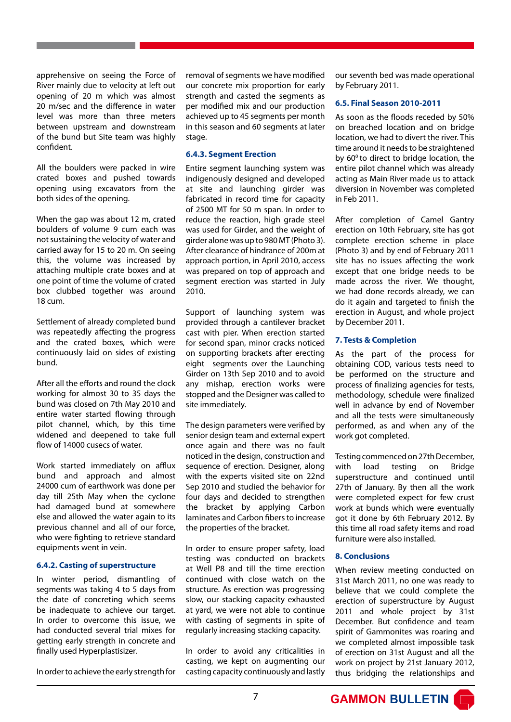apprehensive on seeing the Force of River mainly due to velocity at left out opening of 20 m which was almost 20 m/sec and the difference in water level was more than three meters between upstream and downstream of the bund but Site team was highly confident.

All the boulders were packed in wire crated boxes and pushed towards opening using excavators from the both sides of the opening.

When the gap was about 12 m, crated boulders of volume 9 cum each was not sustaining the velocity of water and carried away for 15 to 20 m. On seeing this, the volume was increased by attaching multiple crate boxes and at one point of time the volume of crated box clubbed together was around 18 cum.

Settlement of already completed bund was repeatedly affecting the progress and the crated boxes, which were continuously laid on sides of existing bund.

After all the efforts and round the clock working for almost 30 to 35 days the bund was closed on 7th May 2010 and entire water started flowing through pilot channel, which, by this time widened and deepened to take full flow of 14000 cusecs of water.

Work started immediately on afflux bund and approach and almost 24000 cum of earthwork was done per day till 25th May when the cyclone had damaged bund at somewhere else and allowed the water again to its previous channel and all of our force, who were fighting to retrieve standard equipments went in vein.

### **6.4.2. Casting of superstructure**

In winter period, dismantling of segments was taking 4 to 5 days from the date of concreting which seems be inadequate to achieve our target. In order to overcome this issue, we had conducted several trial mixes for getting early strength in concrete and finally used Hyperplastisizer.

In order to achieve the early strength for

removal of segments we have modified our concrete mix proportion for early strength and casted the segments as per modified mix and our production achieved up to 45 segments per month in this season and 60 segments at later stage.

### **6.4.3. Segment Erection**

Entire segment launching system was indigenously designed and developed at site and launching girder was fabricated in record time for capacity of 2500 MT for 50 m span. In order to reduce the reaction, high grade steel was used for Girder, and the weight of girder alone was up to 980 MT (Photo 3). After clearance of hindrance of 200m at approach portion, in April 2010, access was prepared on top of approach and segment erection was started in July 2010.

Support of launching system was provided through a cantilever bracket cast with pier. When erection started for second span, minor cracks noticed on supporting brackets after erecting eight segments over the Launching Girder on 13th Sep 2010 and to avoid any mishap, erection works were stopped and the Designer was called to site immediately.

The design parameters were verified by senior design team and external expert once again and there was no fault noticed in the design, construction and sequence of erection. Designer, along with the experts visited site on 22nd Sep 2010 and studied the behavior for four days and decided to strengthen the bracket by applying Carbon laminates and Carbon fibers to increase the properties of the bracket.

In order to ensure proper safety, load testing was conducted on brackets at Well P8 and till the time erection continued with close watch on the structure. As erection was progressing slow, our stacking capacity exhausted at yard, we were not able to continue with casting of segments in spite of regularly increasing stacking capacity.

In order to avoid any criticalities in casting, we kept on augmenting our casting capacity continuously and lastly our seventh bed was made operational by February 2011.

### **6.5. Final Season 2010-2011**

As soon as the floods receded by 50% on breached location and on bridge location, we had to divert the river. This time around it needs to be straightened by  $60^\circ$  to direct to bridge location, the entire pilot channel which was already acting as Main River made us to attack diversion in November was completed in Feb 2011.

After completion of Camel Gantry erection on 10th February, site has got complete erection scheme in place (Photo 3) and by end of February 2011 site has no issues affecting the work except that one bridge needs to be made across the river. We thought, we had done records already, we can do it again and targeted to finish the erection in August, and whole project by December 2011.

### **7. Tests & Completion**

As the part of the process for obtaining COD, various tests need to be performed on the structure and process of finalizing agencies for tests, methodology, schedule were finalized well in advance by end of November and all the tests were simultaneously performed, as and when any of the work got completed.

Testing commenced on 27th December, with load testing on Bridge superstructure and continued until 27th of January. By then all the work were completed expect for few crust work at bunds which were eventually got it done by 6th February 2012. By this time all road safety items and road furniture were also installed.

### **8. Conclusions**

When review meeting conducted on 31st March 2011, no one was ready to believe that we could complete the erection of superstructure by August 2011 and whole project by 31st December. But confidence and team spirit of Gammonites was roaring and we completed almost impossible task of erection on 31st August and all the work on project by 21st January 2012, thus bridging the relationships and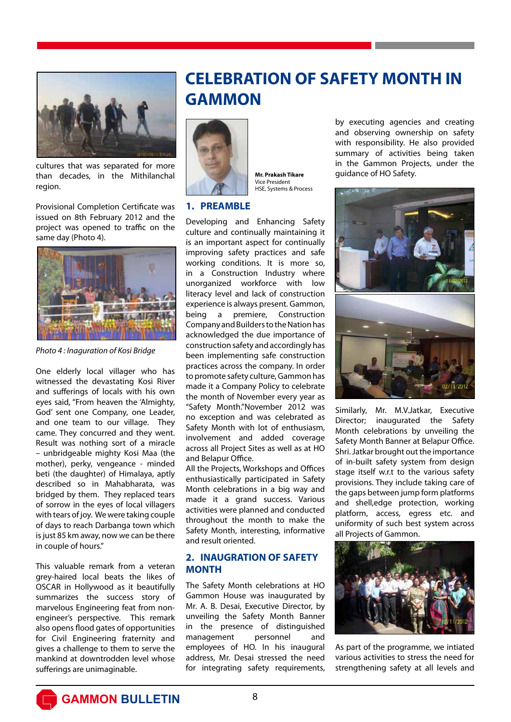

cultures that was separated for more than decades, in the Mithilanchal region.

Provisional Completion Certificate was issued on 8th February 2012 and the project was opened to traffic on the same day (Photo 4).



*Photo 4 : Inaguration of Kosi Bridge* 

One elderly local villager who has witnessed the devastating Kosi River and sufferings of locals with his own eyes said, "From heaven the 'Almighty, God' sent one Company, one Leader, and one team to our village. They came. They concurred and they went. Result was nothing sort of a miracle – unbridgeable mighty Kosi Maa (the mother), perky, vengeance - minded beti (the daughter) of Himalaya, aptly described so in Mahabharata, was bridged by them. They replaced tears of sorrow in the eyes of local villagers with tears of joy. We were taking couple of days to reach Darbanga town which is just 85 km away, now we can be there in couple of hours."

This valuable remark from a veteran grey-haired local beats the likes of OSCAR in Hollywood as it beautifully summarizes the success story of marvelous Engineering feat from nonengineer's perspective. This remark also opens flood gates of opportunities for Civil Engineering fraternity and gives a challenge to them to serve the mankind at downtrodden level whose sufferings are unimaginable.

# **CELEBRATION OF SAFETY MONTH IN GAMMON**



**Mr. Prakash Tikare** Vice President HSE, Systems & Process

### **1. PREAMBLE**

Developing and Enhancing Safety culture and continually maintaining it is an important aspect for continually improving safety practices and safe working conditions. It is more so, in a Construction Industry where unorganized workforce with low literacy level and lack of construction experience is always present. Gammon, being a premiere, Construction Company and Builders to the Nation has acknowledged the due importance of construction safety and accordingly has been implementing safe construction practices across the company. In order to promote safety culture, Gammon has made it a Company Policy to celebrate the month of November every year as "Safety Month."November 2012 was no exception and was celebrated as Safety Month with lot of enthusiasm, involvement and added coverage across all Project Sites as well as at HO and Belapur Office.

All the Projects, Workshops and Offices enthusiastically participated in Safety Month celebrations in a big way and made it a grand success. Various activities were planned and conducted throughout the month to make the Safety Month, interesting, informative and result oriented.

### **2. INAUGRATION OF SAFETY MONTH**

The Safety Month celebrations at HO Gammon House was inaugurated by Mr. A. B. Desai, Executive Director, by unveiling the Safety Month Banner in the presence of distinguished management personnel and employees of HO. In his inaugural address, Mr. Desai stressed the need for integrating safety requirements,

by executing agencies and creating and observing ownership on safety with responsibility. He also provided summary of activities being taken in the Gammon Projects, under the guidance of HO Safety.



Similarly, Mr. M.V.Jatkar, Executive Director; inaugurated the Safety Month celebrations by unveiling the Safety Month Banner at Belapur Office. Shri. Jatkar brought out the importance of in-built safety system from design stage itself w.r.t to the various safety provisions. They include taking care of the gaps between jump form platforms and shell,edge protection, working platform, access, egress etc. and uniformity of such best system across all Projects of Gammon.



As part of the programme, we intiated various activities to stress the need for strengthening safety at all levels and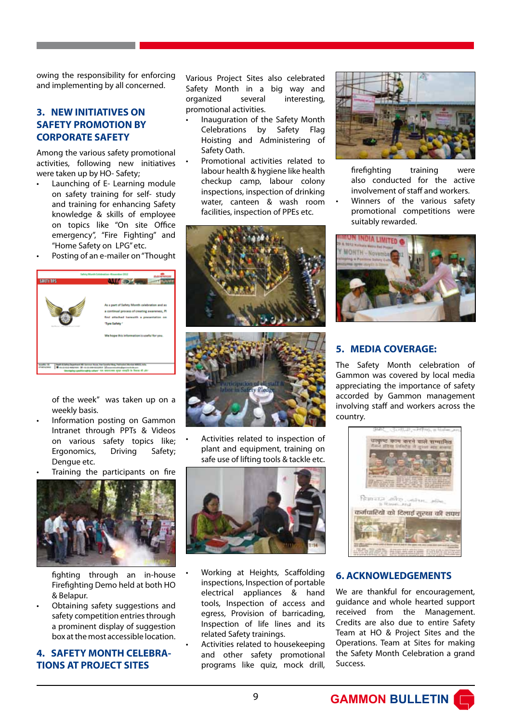owing the responsibility for enforcing and implementing by all concerned.

### **3. NEW INITIATIVES ON SAFETY PROMOTION BY CORPORATE SAFETY**

Among the various safety promotional activities, following new initiatives were taken up by HO- Safety;

- Launching of E- Learning module on safety training for self- study and training for enhancing Safety knowledge & skills of employee on topics like "On site Office emergency", "Fire Fighting" and "Home Safety on LPG" etc.
- Posting of an e-mailer on "Thought



of the week" was taken up on a weekly basis.

- Information posting on Gammon Intranet through PPTs & Videos on various safety topics like; Ergonomics, Driving Safety; Dengue etc.
- Training the participants on fire



fighting through an in-house Firefighting Demo held at both HO & Belapur.

• Obtaining safety suggestions and safety competition entries through a prominent display of suggestion box at the most accessible location.

### **4. SAFETY MONTH CELEBRA-TIONS AT PROJECT SITES**

Various Project Sites also celebrated Safety Month in a big way and organized several interesting, promotional activities.

- Inauguration of the Safety Month Celebrations by Safety Flag Hoisting and Administering of Safety Oath.
- Promotional activities related to labour health & hygiene like health checkup camp, labour colony inspections, inspection of drinking water, canteen & wash room facilities, inspection of PPEs etc.





• Activities related to inspection of plant and equipment, training on safe use of lifting tools & tackle etc.



• Working at Heights, Scaffolding inspections, Inspection of portable electrical appliances & hand tools, Inspection of access and egress, Provision of barricading, Inspection of life lines and its related Safety trainings.

• Activities related to housekeeping and other safety promotional programs like quiz, mock drill,



firefighting training were also conducted for the active involvement of staff and workers.

Winners of the various safety promotional competitions were suitably rewarded.



### **5. MEDIA COVERAGE:**

The Safety Month celebration of Gammon was covered by local media appreciating the importance of safety accorded by Gammon management involving staff and workers across the country.



### **6. ACKNOWLEDGEMENTS**

We are thankful for encouragement, guidance and whole hearted support received from the Management. Credits are also due to entire Safety Team at HO & Project Sites and the Operations. Team at Sites for making the Safety Month Celebration a grand Success.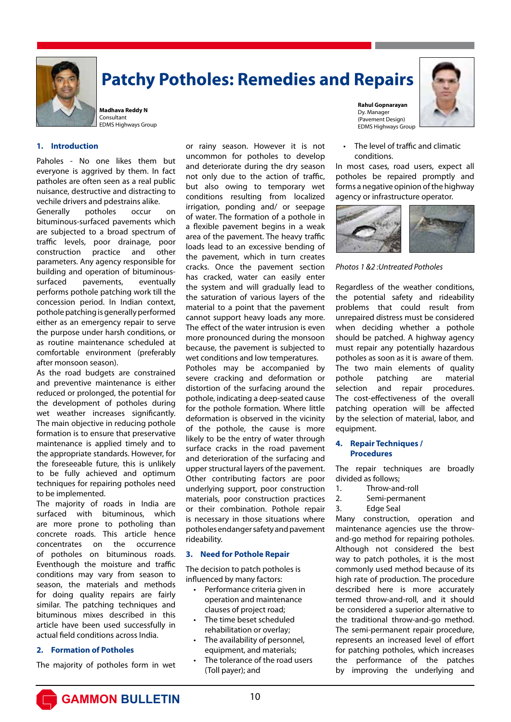

# **Patchy Potholes: Remedies and Repairs**

**Madhava Reddy N** Consultant EDMS Highways Group

### **1. Introduction**

Paholes - No one likes them but everyone is aggrived by them. In fact patholes are often seen as a real public nuisance, destructive and distracting to vechile drivers and pdestrains alike.

Generally potholes occur on bituminous-surfaced pavements which are subjected to a broad spectrum of traffic levels, poor drainage, poor construction practice and other parameters. Any agency responsible for building and operation of bituminoussurfaced pavements, eventually performs pothole patching work till the concession period. In Indian context, pothole patching is generally performed either as an emergency repair to serve the purpose under harsh conditions, or as routine maintenance scheduled at comfortable environment (preferably after monsoon season).

As the road budgets are constrained and preventive maintenance is either reduced or prolonged, the potential for the development of potholes during wet weather increases significantly. The main objective in reducing pothole formation is to ensure that preservative maintenance is applied timely and to the appropriate standards. However, for the foreseeable future, this is unlikely to be fully achieved and optimum techniques for repairing potholes need to be implemented.

The majority of roads in India are surfaced with bituminous, which are more prone to potholing than concrete roads. This article hence concentrates on the occurrence of potholes on bituminous roads. Eventhough the moisture and traffic conditions may vary from season to season, the materials and methods for doing quality repairs are fairly similar. The patching techniques and bituminous mixes described in this article have been used successfully in actual field conditions across India.

### **2. Formation of Potholes**

The majority of potholes form in wet

or rainy season. However it is not uncommon for potholes to develop and deteriorate during the dry season not only due to the action of traffic, but also owing to temporary wet conditions resulting from localized irrigation, ponding and/ or seepage of water. The formation of a pothole in a flexible pavement begins in a weak area of the pavement. The heavy traffic loads lead to an excessive bending of the pavement, which in turn creates cracks. Once the pavement section has cracked, water can easily enter the system and will gradually lead to the saturation of various layers of the material to a point that the pavement cannot support heavy loads any more. The effect of the water intrusion is even more pronounced during the monsoon because, the pavement is subjected to wet conditions and low temperatures.

Potholes may be accompanied by severe cracking and deformation or distortion of the surfacing around the pothole, indicating a deep-seated cause for the pothole formation. Where little deformation is observed in the vicinity of the pothole, the cause is more likely to be the entry of water through surface cracks in the road pavement and deterioration of the surfacing and upper structural layers of the pavement. Other contributing factors are poor underlying support, poor construction materials, poor construction practices or their combination. Pothole repair is necessary in those situations where potholes endanger safety and pavement rideability.

### **3. Need for Pothole Repair**

The decision to patch potholes is influenced by many factors:

- Performance criteria given in operation and maintenance clauses of project road;
- The time beset scheduled rehabilitation or overlay;
- The availability of personnel, equipment, and materials;
- The tolerance of the road users (Toll payer); and

**Rahul Gopnarayan** Dy. Manager (Pavement Design) EDMS Highways Group



• The level of traffic and climatic conditions.

In most cases, road users, expect all potholes be repaired promptly and forms a negative opinion of the highway agency or infrastructure operator.



*Photos 1 &2 :Untreated Potholes* 

Regardless of the weather conditions, the potential safety and rideability problems that could result from unrepaired distress must be considered when deciding whether a pothole should be patched. A highway agency must repair any potentially hazardous potholes as soon as it is aware of them. The two main elements of quality pothole patching are material selection and repair procedures. The cost-effectiveness of the overall patching operation will be affected by the selection of material, labor, and equipment.

### **4. Repair Techniques / Procedures**

The repair techniques are broadly divided as follows;

- 1. Throw-and-roll
- 2. Semi-permanent
- 3. Edge Seal

Many construction, operation and maintenance agencies use the throwand-go method for repairing potholes. Although not considered the best way to patch potholes, it is the most commonly used method because of its high rate of production. The procedure described here is more accurately termed throw-and-roll, and it should be considered a superior alternative to the traditional throw-and-go method. The semi-permanent repair procedure, represents an increased level of effort for patching potholes, which increases the performance of the patches by improving the underlying and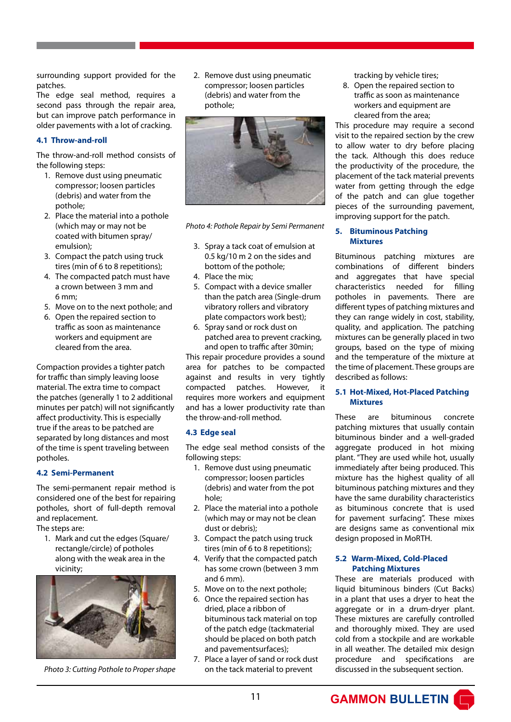surrounding support provided for the patches.

The edge seal method, requires a second pass through the repair area, but can improve patch performance in older pavements with a lot of cracking.

### **4.1 Throw-and-roll**

The throw-and-roll method consists of the following steps:

- 1. Remove dust using pneumatic compressor; loosen particles (debris) and water from the pothole;
- 2. Place the material into a pothole (which may or may not be coated with bitumen spray/ emulsion);
- 3. Compact the patch using truck tires (min of 6 to 8 repetitions);
- 4. The compacted patch must have a crown between 3 mm and 6 mm;
- 5. Move on to the next pothole; and
- 6. Open the repaired section to traffic as soon as maintenance workers and equipment are cleared from the area.

Compaction provides a tighter patch for traffic than simply leaving loose material. The extra time to compact the patches (generally 1 to 2 additional minutes per patch) will not significantly affect productivity. This is especially true if the areas to be patched are separated by long distances and most of the time is spent traveling between potholes.

### **4.2 Semi-Permanent**

The semi-permanent repair method is considered one of the best for repairing potholes, short of full-depth removal and replacement.

The steps are:

1. Mark and cut the edges (Square/ rectangle/circle) of potholes along with the weak area in the vicinity;



*Photo 3: Cutting Pothole to Proper shape*

2. Remove dust using pneumatic compressor; loosen particles (debris) and water from the pothole;



*Photo 4: Pothole Repair by Semi Permanent*

- 3. Spray a tack coat of emulsion at 0.5 kg/10 m 2 on the sides and bottom of the pothole;
- 4. Place the mix;
- 5. Compact with a device smaller than the patch area (Single-drum vibratory rollers and vibratory plate compactors work best);
- 6. Spray sand or rock dust on patched area to prevent cracking, and open to traffic after 30min;

This repair procedure provides a sound area for patches to be compacted against and results in very tightly compacted patches. However, it requires more workers and equipment and has a lower productivity rate than the throw-and-roll method.

### **4.3 Edge seal**

The edge seal method consists of the following steps:

- 1. Remove dust using pneumatic compressor; loosen particles (debris) and water from the pot hole;
- 2. Place the material into a pothole (which may or may not be clean dust or debris);
- 3. Compact the patch using truck tires (min of 6 to 8 repetitions);
- 4. Verify that the compacted patch has some crown (between 3 mm and 6 mm).
- 5. Move on to the next pothole;
- 6. Once the repaired section has dried, place a ribbon of bituminous tack material on top of the patch edge (tackmaterial should be placed on both patch and pavementsurfaces);
- 7. Place a layer of sand or rock dust on the tack material to prevent

tracking by vehicle tires;

8. Open the repaired section to traffic as soon as maintenance workers and equipment are cleared from the area;

This procedure may require a second visit to the repaired section by the crew to allow water to dry before placing the tack. Although this does reduce the productivity of the procedure, the placement of the tack material prevents water from getting through the edge of the patch and can glue together pieces of the surrounding pavement, improving support for the patch.

### **5. Bituminous Patching Mixtures**

Bituminous patching mixtures are combinations of different binders and aggregates that have special characteristics needed for filling potholes in pavements. There are different types of patching mixtures and they can range widely in cost, stability, quality, and application. The patching mixtures can be generally placed in two groups, based on the type of mixing and the temperature of the mixture at the time of placement. These groups are described as follows:

### **5.1 Hot-Mixed, Hot-Placed Patching Mixtures**

These are bituminous concrete patching mixtures that usually contain bituminous binder and a well-graded aggregate produced in hot mixing plant. "They are used while hot, usually immediately after being produced. This mixture has the highest quality of all bituminous patching mixtures and they have the same durability characteristics as bituminous concrete that is used for pavement surfacing". These mixes are designs same as conventional mix design proposed in MoRTH.

### **5.2 Warm-Mixed, Cold-Placed Patching Mixtures**

These are materials produced with liquid bituminous binders (Cut Backs) in a plant that uses a dryer to heat the aggregate or in a drum-dryer plant. These mixtures are carefully controlled and thoroughly mixed. They are used cold from a stockpile and are workable in all weather. The detailed mix design procedure and specifications are discussed in the subsequent section.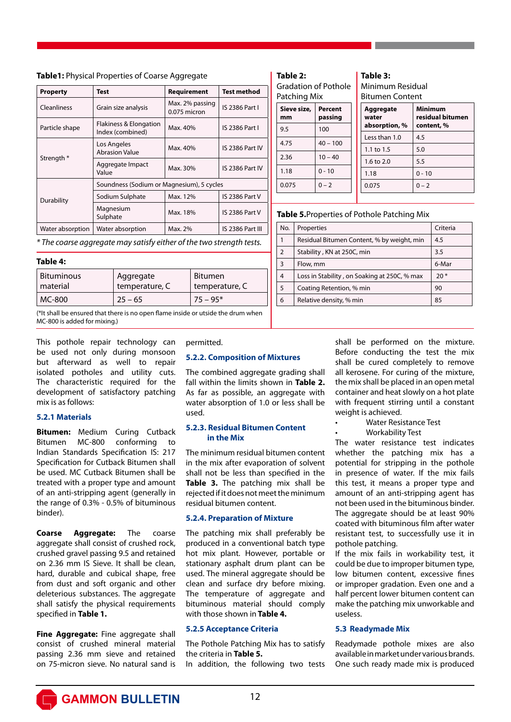| Test                                       | Requirement                       | <b>Test method</b>                        |
|--------------------------------------------|-----------------------------------|-------------------------------------------|
| Grain size analysis                        | Max. 2% passing<br>$0.075$ micron | <b>IS 2386 Part I</b>                     |
| Flakiness & Elongation<br>Index (combined) | Max. 40%                          | <b>IS 2386 Part I</b>                     |
| Los Angeles<br><b>Abrasion Value</b>       | Max. 40%                          | IS 2386 Part IV                           |
| Aggregate Impact<br>Value                  | Max. 30%                          | <b>IS 2386 Part IV</b>                    |
|                                            |                                   |                                           |
| Sodium Sulphate                            | Max. 12%                          | <b>IS 2386 Part V</b>                     |
| Magnesium<br>Sulphate                      | Max. 18%                          | <b>IS 2386 Part V</b>                     |
| Water absorption                           | Max. 2%                           | IS 2386 Part III                          |
|                                            |                                   | Soundness (Sodium or Magnesium), 5 cycles |

**Table1:** Physical Properties of Coarse Aggregate

*\* The coarse aggregate may satisfy either of the two strength tests.*

### **Table 4:**

| <b>Bituminous</b> | Aggregate      | <b>Bitumen</b> |
|-------------------|----------------|----------------|
| material          | temperature, C | temperature, C |
| MC-800            | $25 - 65$      | $75 - 95*$     |

(\*It shall be ensured that there is no open flame inside or utside the drum when MC-800 is added for mixing.)

This pothole repair technology can be used not only during monsoon but afterward as well to repair isolated potholes and utility cuts. The characteristic required for the development of satisfactory patching mix is as follows:

### **5.2.1 Materials**

**Bitumen:** Medium Curing Cutback Bitumen MC-800 conforming to Indian Standards Specification IS: 217 Specification for Cutback Bitumen shall be used. MC Cutback Bitumen shall be treated with a proper type and amount of an anti-stripping agent (generally in the range of 0.3% - 0.5% of bituminous binder).

**Coarse Aggregate:** The coarse aggregate shall consist of crushed rock, crushed gravel passing 9.5 and retained on 2.36 mm IS Sieve. It shall be clean, hard, durable and cubical shape, free from dust and soft organic and other deleterious substances. The aggregate shall satisfy the physical requirements specified in **Table 1.**

**Fine Aggregate:** Fine aggregate shall consist of crushed mineral material passing 2.36 mm sieve and retained on 75-micron sieve. No natural sand is

permitted.

### **5.2.2. Composition of Mixtures**

The combined aggregate grading shall fall within the limits shown in **Table 2.**  As far as possible, an aggregate with water absorption of 1.0 or less shall be used.

### **5.2.3. Residual Bitumen Content in the Mix**

The minimum residual bitumen content in the mix after evaporation of solvent shall not be less than specified in the **Table 3.** The patching mix shall be rejected if it does not meet the minimum residual bitumen content.

### **5.2.4. Preparation of Mixture**

The patching mix shall preferably be produced in a conventional batch type hot mix plant. However, portable or stationary asphalt drum plant can be used. The mineral aggregate should be clean and surface dry before mixing. The temperature of aggregate and bituminous material should comply with those shown in **Table 4.**

### **5.2.5 Acceptance Criteria**

The Pothole Patching Mix has to satisfy the criteria in **Table 5.**

In addition, the following two tests

| ۱<br>10 |  |
|---------|--|
|---------|--|

**Sieve size, mm Percent passing** 9.5 | 100  $4.75$   $40 - 10$  $2.36$  10 – 40  $1.18$  0 - 10  $0.075$   $0 - 2$ Gradation of Pothole Patching Mix

### **Table 3:**  Minimum Residual Bitumen Content

| t<br>J | Aggregate<br>water<br>absorption, % | <b>Minimum</b><br>residual bitumen<br>content, % |  |  |
|--------|-------------------------------------|--------------------------------------------------|--|--|
| D      | Less than 1.0                       | 4.5                                              |  |  |
|        | 1.1 to 1.5                          | 5.0                                              |  |  |
|        | 1.6 to 2.0                          | 5.5                                              |  |  |
|        | 1.18                                | $0 - 10$                                         |  |  |
|        | 0.075                               | $0 - 2$                                          |  |  |
|        |                                     |                                                  |  |  |

### **Table 5.**Properties of Pothole Patching Mix

| No.            | Properties                                   | Criteria |
|----------------|----------------------------------------------|----------|
| 1              | Residual Bitumen Content, % by weight, min   | 4.5      |
| $\overline{2}$ | Stability, KN at 250C, min                   | 3.5      |
| $\overline{3}$ | Flow, mm                                     | 6-Mar    |
| $\overline{4}$ | Loss in Stability, on Soaking at 250C, % max | $20*$    |
| 5              | Coating Retention, % min                     | 90       |
| 6              | Relative density, % min                      | 85       |

shall be performed on the mixture. Before conducting the test the mix shall be cured completely to remove all kerosene. For curing of the mixture, the mix shall be placed in an open metal container and heat slowly on a hot plate with frequent stirring until a constant weight is achieved.

- Water Resistance Test
- Workability Test

The water resistance test indicates whether the patching mix has a potential for stripping in the pothole in presence of water. If the mix fails this test, it means a proper type and amount of an anti-stripping agent has not been used in the bituminous binder. The aggregate should be at least 90% coated with bituminous film after water resistant test, to successfully use it in pothole patching.

If the mix fails in workability test, it could be due to improper bitumen type, low bitumen content, excessive fines or improper gradation. Even one and a half percent lower bitumen content can make the patching mix unworkable and useless.

### **5.3 Readymade Mix**

Readymade pothole mixes are also available in market under various brands. One such ready made mix is produced

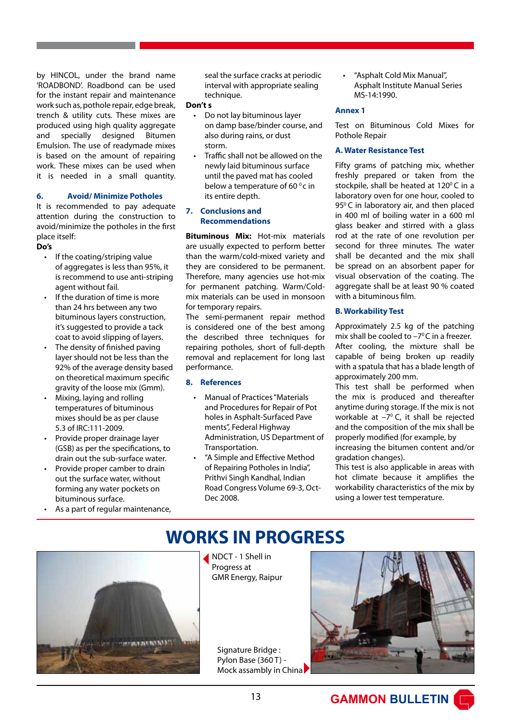by HINCOL, under the brand name 'ROADBOND'. Roadbond can be used for the instant repair and maintenance work such as, pothole repair, edge break, trench & utility cuts. These mixes are produced using high quality aggregate and specially designed Bitumen Emulsion. The use of readymade mixes is based on the amount of repairing work. These mixes can be used when it is needed in a small quantity.

### **6. Avoid/ Minimize Potholes**

It is recommended to pay adequate attention during the construction to avoid/minimize the potholes in the first place itself:

### **Do's**

- If the coating/striping value of aggregates is less than 95%, it is recommend to use anti-striping agent without fail.
- If the duration of time is more than 24 hrs between any two bituminous layers construction, it's suggested to provide a tack coat to avoid slipping of layers.
- The density of finished paving layer should not be less than the 92% of the average density based on theoretical maximum specific gravity of the loose mix (Gmm).
- Mixing, laying and rolling temperatures of bituminous mixes should be as per clause 5.3 of IRC:111-2009.
- Provide proper drainage layer (GSB) as per the specifications, to drain out the sub-surface water.
- Provide proper camber to drain out the surface water, without forming any water pockets on bituminous surface.
- As a part of regular maintenance,

 seal the surface cracks at periodic interval with appropriate sealing technique.

### **Don't s**

- Do not lay bituminous layer on damp base/binder course, and also during rains, or dust storm.
- Traffic shall not be allowed on the newly laid bituminous surface until the paved mat has cooled below a temperature of 60 $^{\circ}$ c in its entire depth.

### **7. Conclusions and Recommendations**

**Bituminous Mix:** Hot-mix materials are usually expected to perform better than the warm/cold-mixed variety and they are considered to be permanent. Therefore, many agencies use hot-mix for permanent patching. Warm/Coldmix materials can be used in monsoon for temporary repairs.

The semi-permanent repair method is considered one of the best among the described three techniques for repairing potholes, short of full-depth removal and replacement for long last performance.

### **8. References**

- Manual of Practices "Materials and Procedures for Repair of Pot holes in Asphalt-Surfaced Pave ments", Federal Highway Administration, US Department of Transportation.
- "A Simple and Effective Method of Repairing Potholes in India", Prithvi Singh Kandhal, Indian Road Congress Volume 69-3, Oct- Dec 2008.

• "Asphalt Cold Mix Manual", Asphalt Institute Manual Series MS-14:1990.

### **Annex 1**

Test on Bituminous Cold Mixes for Pothole Repair

### **A. Water Resistance Test**

Fifty grams of patching mix, whether freshly prepared or taken from the stockpile, shall be heated at  $120^{\circ}$ C in a laboratory oven for one hour, cooled to 95<sup>°</sup>C in laboratory air, and then placed in 400 ml of boiling water in a 600 ml glass beaker and stirred with a glass rod at the rate of one revolution per second for three minutes. The water shall be decanted and the mix shall be spread on an absorbent paper for visual observation of the coating. The aggregate shall be at least 90 % coated with a bituminous film.

### **B. Workability Test**

Approximately 2.5 kg of the patching mix shall be cooled to  $-7^{\circ}$ C in a freezer. After cooling, the mixture shall be capable of being broken up readily with a spatula that has a blade length of approximately 200 mm.

This test shall be performed when the mix is produced and thereafter anytime during storage. If the mix is not workable at  $-7^{\circ}$  C, it shall be rejected and the composition of the mix shall be properly modified (for example, by

increasing the bitumen content and/or gradation changes).

This test is also applicable in areas with hot climate because it amplifies the workability characteristics of the mix by using a lower test temperature.

# **WORKS IN PROGRESS**



NDCT - 1 Shell in Progress at GMR Energy, Raipur

Signature Bridge: Pylon Base (360 T) - Mock assambly in China

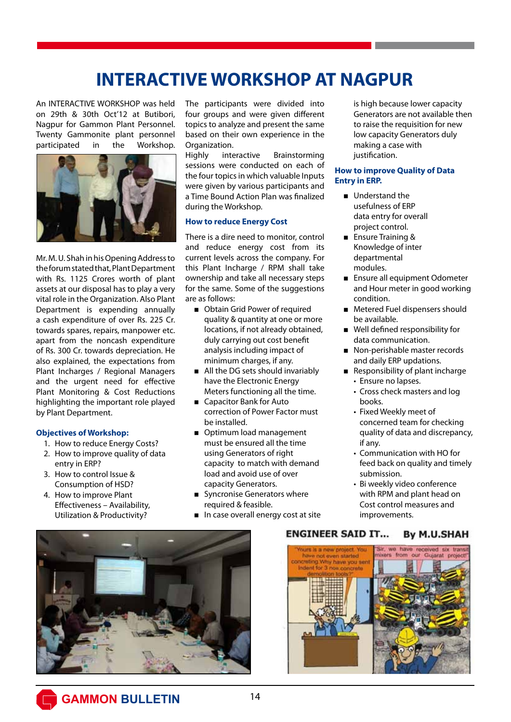# **INTERACTIVE WORKSHOP AT NAGPUR**

An INTERACTIVE WORKSHOP was held on 29th & 30th Oct'12 at Butibori, Nagpur for Gammon Plant Personnel. Twenty Gammonite plant personnel participated in the Workshop.



Mr. M. U. Shah in his Opening Address to the forum stated that, Plant Department with Rs. 1125 Crores worth of plant assets at our disposal has to play a very vital role in the Organization. Also Plant Department is expending annually a cash expenditure of over Rs. 225 Cr. towards spares, repairs, manpower etc. apart from the noncash expenditure of Rs. 300 Cr. towards depreciation. He also explained, the expectations from Plant Incharges / Regional Managers and the urgent need for effective Plant Monitoring & Cost Reductions highlighting the important role played by Plant Department.

### **Objectives of Workshop:**

- 1. How to reduce Energy Costs?
- 2. How to improve quality of data entry in ERP?
- 3. How to control Issue & Consumption of HSD?
- 4. How to improve Plant Effectiveness – Availability, Utilization & Productivity?

The participants were divided into four groups and were given different topics to analyze and present the same based on their own experience in the Organization.

Highly interactive Brainstorming sessions were conducted on each of the four topics in which valuable Inputs were given by various participants and a Time Bound Action Plan was finalized during the Workshop.

### **How to reduce Energy Cost**

There is a dire need to monitor, control and reduce energy cost from its current levels across the company. For this Plant Incharge / RPM shall take ownership and take all necessary steps for the same. Some of the suggestions are as follows:

- Obtain Grid Power of required quality & quantity at one or more locations, if not already obtained, duly carrying out cost benefit analysis including impact of minimum charges, if any.
- All the DG sets should invariably have the Electronic Energy Meters functioning all the time.
- Capacitor Bank for Auto correction of Power Factor must be installed.
- Optimum load management must be ensured all the time using Generators of right capacity to match with demand load and avoid use of over capacity Generators.
- **Syncronise Generators where** required & feasible.
- In case overall energy cost at site

 is high because lower capacity Generators are not available then to raise the requisition for new low capacity Generators duly making a case with justification.

### **How to improve Quality of Data Entry in ERP.**

- Understand the usefulness of ERP data entry for overall project control.
- **Ensure Training &**  Knowledge of inter departmental modules.
- **Ensure all equipment Odometer**  and Hour meter in good working condition.
- **Metered Fuel dispensers should** be available.
- Well defined responsibility for data communication.
- Non-perishable master records and daily ERP updations.
- Responsibility of plant incharge
	- Ensure no lapses.
	- Cross check masters and log books.
	- Fixed Weekly meet of concerned team for checking quality of data and discrepancy, if any.
	- Communication with HO for feed back on quality and timely submission.
	- Bi weekly video conference with RPM and plant head on Cost control measures and improvements.



#### **ENGINEER SAID IT... By M.U.SHAH**

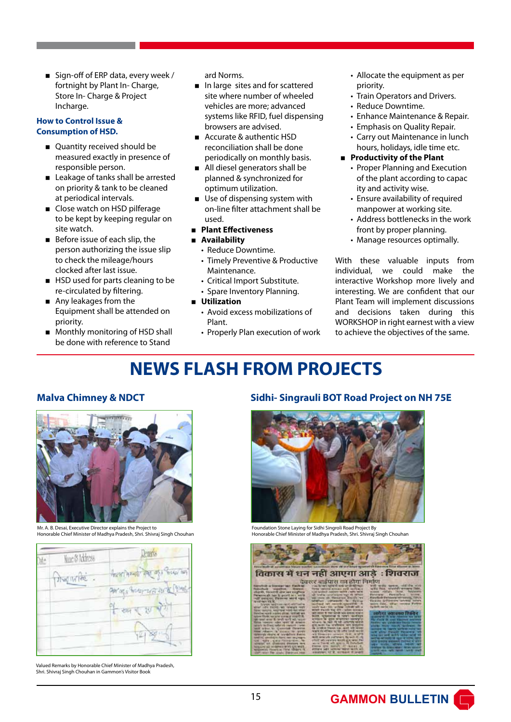■ Sign-off of ERP data, every week / fortnight by Plant In- Charge, Store In- Charge & Project Incharge.

### **How to Control Issue & Consumption of HSD.**

- Ouantity received should be measured exactly in presence of responsible person.
- Leakage of tanks shall be arrested on priority & tank to be cleaned at periodical intervals.
- Close watch on HSD pilferage to be kept by keeping regular on site watch.
- Before issue of each slip, the person authorizing the issue slip to check the mileage/hours clocked after last issue.
- **HSD** used for parts cleaning to be re-circulated by filtering.
- Any leakages from the Equipment shall be attended on priority.
- **Monthly monitoring of HSD shall** be done with reference to Stand

ard Norms.

- In large sites and for scattered site where number of wheeled vehicles are more; advanced systems like RFID, fuel dispensing browsers are advised.
- Accurate & authentic HSD reconciliation shall be done periodically on monthly basis.
- All diesel generators shall be planned & synchronized for optimum utilization.
- Use of dispensing system with on-line filter attachment shall be used.
- < **Plant Effectiveness**
- < **Availability**
	- Reduce Downtime.
	- Timely Preventive & Productive Maintenance.
	- Critical Import Substitute.
	- Spare Inventory Planning.
- < **Utilization**
	- Avoid excess mobilizations of Plant.
	- Properly Plan execution of work
- Allocate the equipment as per priority.
- Train Operators and Drivers.
- Reduce Downtime.
- Enhance Maintenance & Repair.
- Emphasis on Quality Repair.
- Carry out Maintenance in lunch hours, holidays, idle time etc.
- **Productivity of the Plant** 
	- Proper Planning and Execution of the plant according to capac ity and activity wise.
	- Ensure availability of required manpower at working site.
	- Address bottlenecks in the work front by proper planning.
	- Manage resources optimally.

With these valuable inputs from individual, we could make the interactive Workshop more lively and interesting. We are confident that our Plant Team will implement discussions and decisions taken during this WORKSHOP in right earnest with a view to achieve the objectives of the same.

# **NEWS FLASH FROM PROJECTS**



Mr. A. B. Desai, Executive Director explains the Project to Honorable Chief Minister of Madhya Pradesh, Shri. Shivraj Singh Chouhan



Valued Remarks by Honorable Chief Minister of Madhya Pradesh, Shri. Shivraj Singh Chouhan in Gammon's Visitor Book

### **Malva Chimney & NDCT Sidhi- Singrauli BOT Road Project on NH 75E**



Foundation Stone Laying for Sidhi Singroli Road Project By Honorable Chief Minister of Madhya Pradesh, Shri. Shivraj Singh Chouhan

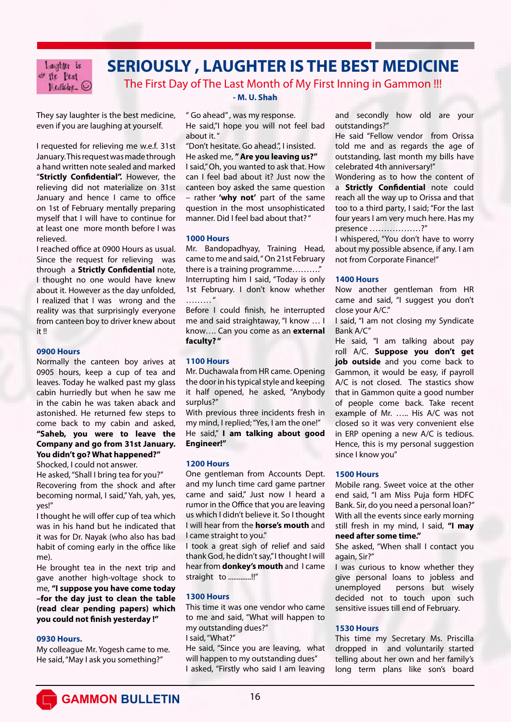Laughter is of the Pest  $Medicity$   $\odot$ 

# **SERIOUSLY , LAUGHTER IS THE BEST MEDICINE**

The First Day of The Last Month of My First Inning in Gammon !!!

They say laughter is the best medicine, even if you are laughing at yourself.

I requested for relieving me w.e.f. 31st January. This request was made through a hand written note sealed and marked "**Strictly Confidential".** However, the relieving did not materialize on 31st January and hence I came to office on 1st of February mentally preparing myself that I will have to continue for at least one more month before I was relieved.

I reached office at 0900 Hours as usual. Since the request for relieving was through a **Strictly Confidential** note, I thought no one would have knew about it. However as the day unfolded, I realized that I was wrong and the reality was that surprisingly everyone from canteen boy to driver knew about it !!

### **0900 Hours**

Normally the canteen boy arives at 0905 hours, keep a cup of tea and leaves. Today he walked past my glass cabin hurriedly but when he saw me in the cabin he was taken aback and astonished. He returned few steps to come back to my cabin and asked, **"Saheb, you were to leave the Company and go from 31st January. You didn't go? What happened?"**

Shocked, I could not answer.

He asked, "Shall I bring tea for you?" Recovering from the shock and after becoming normal, I said," Yah, yah, yes, yes!"

I thought he will offer cup of tea which was in his hand but he indicated that it was for Dr. Nayak (who also has bad habit of coming early in the office like me).

He brought tea in the next trip and gave another high-voltage shock to me, **"I suppose you have come today –for the day just to clean the table (read clear pending papers) which you could not finish yesterday !"**

### **0930 Hours.**

My colleague Mr. Yogesh came to me. He said, "May I ask you something?"

### **- M. U. Shah**

" Go ahead" , was my response. He said,"I hope you will not feel bad about it."

"Don't hesitate. Go ahead.", I insisted. He asked me, **" Are you leaving us?"** I said," Oh, you wanted to ask that. How can I feel bad about it? Just now the canteen boy asked the same question – rather **'why not'** part of the same

question in the most unsophisticated manner. Did I feel bad about that? "

### **1000 Hours**

Mr. Bandopadhyay, Training Head, came to me and said, " On 21st February there is a training programme........... Interrupting him I said, "Today is only 1st February. I don't know whether  $\mathbf{u}$ 

Before I could finish, he interrupted me and said straightaway, "I know … I know…. Can you come as an **external faculty? "** 

### **1100 Hours**

Mr. Duchawala from HR came. Opening the door in his typical style and keeping it half opened, he asked, "Anybody surplus?"

With previous three incidents fresh in my mind, I replied; "Yes, I am the one!" He said," **I am talking about good Engineer!"**

### **1200 Hours**

One gentleman from Accounts Dept. and my lunch time card game partner came and said," Just now I heard a rumor in the Office that you are leaving us which I didn't believe it. So I thought I will hear from the **horse's mouth** and I came straight to you."

I took a great sigh of relief and said thank God, he didn't say," I thought I will hear from **donkey's mouth** and I came straight to .............!!"

### **1300 Hours**

This time it was one vendor who came to me and said, "What will happen to my outstanding dues?" I said, "What?"

He said, "Since you are leaving, what will happen to my outstanding dues" I asked, "Firstly who said I am leaving

and secondly how old are your outstandings?"

He said "Fellow vendor from Orissa told me and as regards the age of outstanding, last month my bills have celebrated 4th anniversary!"

Wondering as to how the content of a **Strictly Confidential** note could reach all the way up to Orissa and that too to a third party, I said; "For the last four years I am very much here. Has my presence ………………?"

I whispered, "You don't have to worry about my possible absence, if any. I am not from Corporate Finance!"

### **1400 Hours**

Now another gentleman from HR came and said, "I suggest you don't close your A/C."

I said, "I am not closing my Syndicate Bank A/C"

He said, "I am talking about pay roll A/C. **Suppose you don't get job outside** and you come back to Gammon, it would be easy, if payroll A/C is not closed. The stastics show that in Gammon quite a good number of people come back. Take recent example of Mr. ….. His A/C was not closed so it was very convenient else in ERP opening a new A/C is tedious. Hence, this is my personal suggestion since I know you"

### **1500 Hours**

Mobile rang. Sweet voice at the other end said, "I am Miss Puja form HDFC Bank. Sir, do you need a personal loan?" With all the events since early morning still fresh in my mind, I said, **"I may need after some time."**

She asked, "When shall I contact you again, Sir?"

I was curious to know whether they give personal loans to jobless and unemployed persons but wisely decided not to touch upon such sensitive issues till end of February.

### **1530 Hours**

This time my Secretary Ms. Priscilla dropped in and voluntarily started telling about her own and her family's long term plans like son's board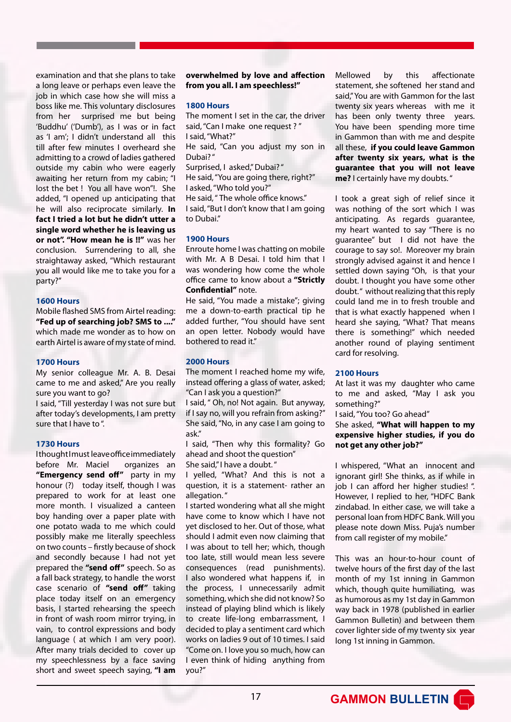examination and that she plans to take a long leave or perhaps even leave the job in which case how she will miss a boss like me. This voluntary disclosures from her surprised me but being 'Buddhu' ('Dumb'), as I was or in fact as 'I am'; I didn't understand all this till after few minutes I overheard she admitting to a crowd of ladies gathered outside my cabin who were eagerly awaiting her return from my cabin; "I lost the bet ! You all have won"!. She added, "I opened up anticipating that he will also reciprocate similarly. **In fact I tried a lot but he didn't utter a single word whether he is leaving us or not". "How mean he is !!"** was her conclusion. Surrendering to all, she straightaway asked, "Which restaurant you all would like me to take you for a party?"

### **1600 Hours**

Mobile flashed SMS from Airtel reading: **"Fed up of searching job? SMS to ...."** which made me wonder as to how on earth Airtel is aware of my state of mind.

### **1700 Hours**

My senior colleague Mr. A. B. Desai came to me and asked," Are you really sure you want to go?

I said, "Till yesterday I was not sure but after today's developments, I am pretty sure that I have to ".

### **1730 Hours**

I thought I must leave office immediately before Mr. Maciel organizes an **"Emergency send off"** party in my honour (?) today itself, though I was prepared to work for at least one more month. I visualized a canteen boy handing over a paper plate with one potato wada to me which could possibly make me literally speechless on two counts – firstly because of shock and secondly because I had not yet prepared the **"send off"** speech. So as a fall back strategy, to handle the worst case scenario of **"send off"** taking place today itself on an emergency basis, I started rehearsing the speech in front of wash room mirror trying, in vain, to control expressions and body language ( at which I am very poor). After many trials decided to cover up my speechlessness by a face saving short and sweet speech saying, **"I am** 

**overwhelmed by love and affection from you all. I am speechless!"**

### **1800 Hours**

The moment I set in the car, the driver said, "Can I make one request ? " I said, "What?" He said, "Can you adjust my son in Dubai? " Surprised, I asked," Dubai? " He said, "You are going there, right?" I asked, "Who told you?"

He said, " The whole office knows." I said, "But I don't know that I am going to Dubai."

### **1900 Hours**

Enroute home I was chatting on mobile with Mr. A B Desai. I told him that I was wondering how come the whole office came to know about a **"Strictly Confidential"** note.

He said, "You made a mistake"; giving me a down-to-earth practical tip he added further, "You should have sent an open letter. Nobody would have bothered to read it."

### **2000 Hours**

The moment I reached home my wife, instead offering a glass of water, asked; "Can I ask you a question?"

I said, " Oh, no! Not again. But anyway, if I say no, will you refrain from asking?" She said, "No, in any case I am going to ask."

I said, "Then why this formality? Go ahead and shoot the question"

She said," I have a doubt. "

I yelled, "What? And this is not a question, it is a statement- rather an allegation. "

I started wondering what all she might have come to know which I have not yet disclosed to her. Out of those, what should I admit even now claiming that I was about to tell her; which, though too late, still would mean less severe consequences (read punishments). I also wondered what happens if, in the process, I unnecessarily admit something, which she did not know? So instead of playing blind which is likely to create life-long embarrassment, I decided to play a sentiment card which works on ladies 9 out of 10 times. I said "Come on. I love you so much, how can I even think of hiding anything from you?"

Mellowed by this affectionate statement, she softened her stand and said," You are with Gammon for the last twenty six years whereas with me it has been only twenty three years. You have been spending more time in Gammon than with me and despite all these, **if you could leave Gammon after twenty six years, what is the guarantee that you will not leave me?** I certainly have my doubts. "

I took a great sigh of relief since it was nothing of the sort which I was anticipating. As regards guarantee, my heart wanted to say "There is no guarantee" but I did not have the courage to say so!. Moreover my brain strongly advised against it and hence I settled down saying "Oh, is that your doubt. I thought you have some other doubt." without realizing that this reply could land me in to fresh trouble and that is what exactly happened when I heard she saying, "What? That means there is something!" which needed another round of playing sentiment card for resolving.

### **2100 Hours**

At last it was my daughter who came to me and asked, "May I ask you something?"

I said, "You too? Go ahead"

She asked, **"What will happen to my expensive higher studies, if you do not get any other job?"**

I whispered, "What an innocent and ignorant girl! She thinks, as if while in job I can afford her higher studies! ". However, I replied to her, "HDFC Bank zindabad. In either case, we will take a personal loan from HDFC Bank. Will you please note down Miss. Puja's number from call register of my mobile."

This was an hour-to-hour count of twelve hours of the first day of the last month of my 1st inning in Gammon which, though quite humiliating, was as humorous as my 1st day in Gammon way back in 1978 (published in earlier Gammon Bulletin) and between them cover lighter side of my twenty six year long 1st inning in Gammon.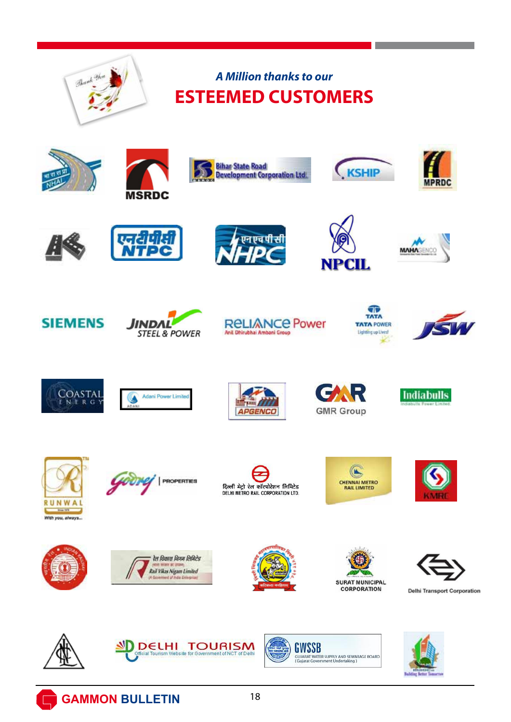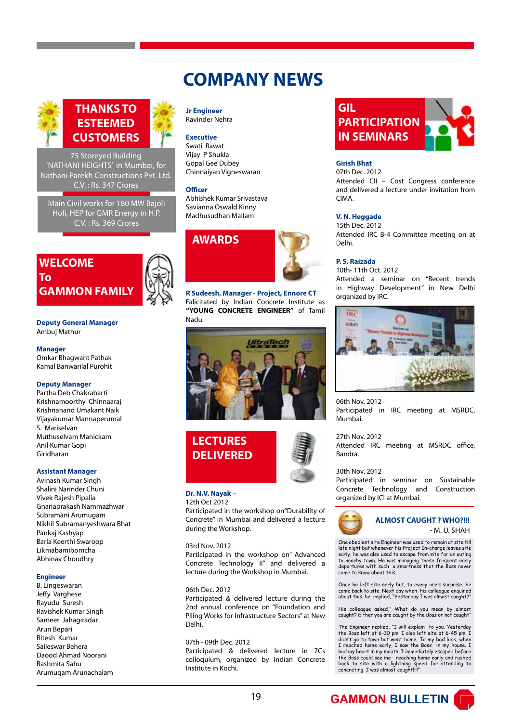# **COMPANY NEWS**



### **THANKS TO ESTEEMED CUSTOMERS**

75 Storeyed Building 'NATHANI HEIGHTS' in Mumbai, for Nathani Parekh Constructions Pvt. Ltd. C.V. : Rs. 347 Crores

Main Civil works for 180 MW Bajoli Holi, HEP for GMR Energy in H.P. C.V. : Rs. 369 Crores

### **WELCOME To GAMMON FAMILY**



**Deputy General Manager** Ambuj Mathur

#### **Manager**

Omkar Bhagwant Pathak Kamal Banwarilal Purohit

### **Deputy Manager**

Partha Deb Chakrabarti Krishnamoorthy Chinnaaraj Krishnanand Umakant Naik Vijayakumar Mannaperumal S. Mariselvan Muthuselvam Manickam Anil Kumar Gopi Giridharan

#### **Assistant Manager**

Avinash Kumar Singh Shalini Narinder Chuni Vivek Rajesh Pipalia Gnanaprakash Nammazhwar Subramani Arumugam Nikhil Subramanyeshwara Bhat Pankaj Kashyap Barla Keerthi Swaroop Likmabamibomcha Abhinav Choudhry

#### **Engineer**

B. Lingeswaran Jeffy Varghese Rayudu Suresh Ravishek Kumar Singh Sameer Jahagiradar Arun Bepari Ritesh Kumar Saileswar Behera Daood Ahmad Noorani Rashmita Sahu Arumugam Arunachalam

#### **Jr Engineer** Ravinder Nehra

### **Executive**

Swati Rawat Vijay P Shukla Gopal Gee Dubey Chinnaiyan Vigneswaran

#### **Officer**

Abhishek Kumar Srivastava Savianna Oswald Kinny Madhusudhan Mallam

## **AWARDS**



**R Sudeesh, Manager - Project, Ennore CT** Falicitated by Indian Concrete Institute as **"YOUNG CONCRETE ENGINEER"** of Tamil Nadu.



# **LECTURES DELIVERED**

### **Dr. N.V. Nayak –**

#### 12th Oct 2012

Participated in the workshop on"Durability of Concrete" in Mumbai and delivered a lecture during the Workshop.

03rd Nov. 2012

Participated in the workshop on" Advanced Concrete Technology II" and delivered a lecture during the Workshop in Mumbai.

#### 06th Dec. 2012

Participated & delivered lecture during the 2nd annual conference on "Foundation and Piling Works for Infrastructure Sectors" at New Delhi.

### 07th - 09th Dec. 2012

Participated & delivered lecture in 7Cs colloquium, organized by Indian Concrete Institute in Kochi.



### **Girish Bhat**

07th Dec. 2012 Attended CII – Cost Congress conference and delivered a lecture under invitation from CIMA.

### **V. N. Heggade**

15th Dec. 2012 Attended IRC B-4 Committee meeting on at Delhi.

#### **P. S. Raizada**

10th- 11th Oct. 2012 Attended a seminar on "Recent trends in Highway Development" in New Delhi organized by IRC.



06th Nov. 2012 Participated in IRC meeting at MSRDC, Mumbai.

### 27th Nov. 2012

Attended IRC meeting at MSRDC office, Bandra.

#### 30th Nov. 2012

Participated in seminar on Sustainable Concrete Technology and Construction organized by ICI at Mumbai.



### **ALMOST CAUGHT ? WHO?!!!** - M. U. SHAH

One obedient site Engineer was used to remain at site till late night but whenever his Project In-charge leaves site early, he was also used to escape from site for an outing to nearby town. He was managing these frequent early departures with such a smartness that the Boss never came to know about this.

Once he left site early but, to every one's surprise, he came back to site. Next day when his colleague enquired about this, he replied, "Yesterday I was almost caught?"

His colleague asked," What do you mean by almost caught? Either you are caught by the Boss or not caught"

The Engineer replied, "I will explain to you. Yesterday the Boss left at 6-30 pm. I also left site at 6-45 pm. I didn't go to town but went home. To my bad luck, when I reached home early, I saw the Boss in my house. I had my heart in my mouth. I immediately escaped before the Boss could see me reaching home early and rushed back to site with a lightning speed for attending to concreting. I was almost caught!!!!"